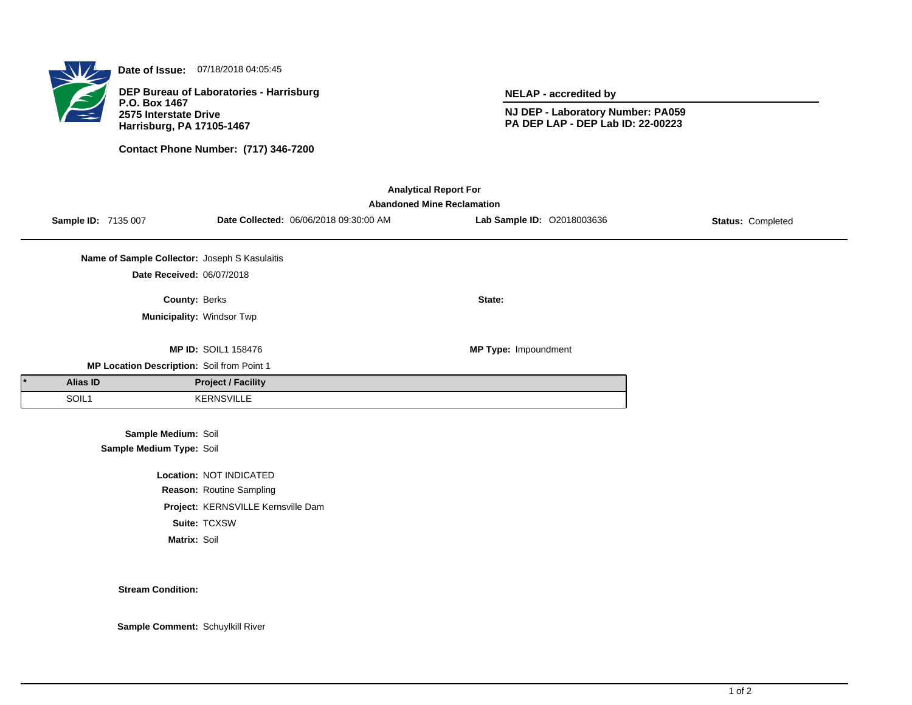

**Date of Issue:** 07/18/2018 04:05:45

**DEP Bureau of Laboratories - Harrisburg P.O. Box 1467 2575 Interstate Drive Harrisburg, PA 17105-1467**

**Contact Phone Number: (717) 346-7200**

**NELAP - accredited by**

**NJ DEP - Laboratory Number: PA059 PA DEP LAP - DEP Lab ID: 22-00223**

| <b>Analytical Report For</b><br><b>Abandoned Mine Reclamation</b> |                     |                                               |                                    |                                        |                            |                   |  |  |  |  |
|-------------------------------------------------------------------|---------------------|-----------------------------------------------|------------------------------------|----------------------------------------|----------------------------|-------------------|--|--|--|--|
|                                                                   | Sample ID: 7135 007 |                                               |                                    | Date Collected: 06/06/2018 09:30:00 AM | Lab Sample ID: 02018003636 | Status: Completed |  |  |  |  |
|                                                                   |                     | Name of Sample Collector: Joseph S Kasulaitis |                                    |                                        |                            |                   |  |  |  |  |
|                                                                   |                     | Date Received: 06/07/2018                     |                                    |                                        |                            |                   |  |  |  |  |
|                                                                   |                     | County: Berks                                 |                                    |                                        | State:                     |                   |  |  |  |  |
|                                                                   |                     |                                               | Municipality: Windsor Twp          |                                        |                            |                   |  |  |  |  |
|                                                                   |                     |                                               | <b>MP ID: SOIL1 158476</b>         |                                        | MP Type: Impoundment       |                   |  |  |  |  |
| MP Location Description: Soil from Point 1                        |                     |                                               |                                    |                                        |                            |                   |  |  |  |  |
|                                                                   | Alias ID            |                                               | <b>Project / Facility</b>          |                                        |                            |                   |  |  |  |  |
|                                                                   | SOIL1               |                                               | <b>KERNSVILLE</b>                  |                                        |                            |                   |  |  |  |  |
|                                                                   |                     | Sample Medium: Soil                           |                                    |                                        |                            |                   |  |  |  |  |
|                                                                   |                     | Sample Medium Type: Soil                      |                                    |                                        |                            |                   |  |  |  |  |
|                                                                   |                     |                                               | Location: NOT INDICATED            |                                        |                            |                   |  |  |  |  |
|                                                                   |                     |                                               | Reason: Routine Sampling           |                                        |                            |                   |  |  |  |  |
|                                                                   |                     |                                               | Project: KERNSVILLE Kernsville Dam |                                        |                            |                   |  |  |  |  |

**Suite:** TCXSW

**Matrix:** Soil

**Stream Condition:**

**Sample Comment:** Schuylkill River